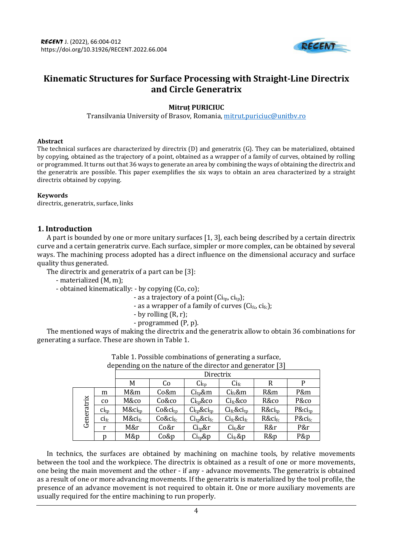

# **Kinematic Structures for Surface Processing with Straight-Line Directrix and Circle Generatrix**

## **Mitruț PURICIUC**

Transilvania University of Brasov, Romania[, mitrut.puriciuc@unitbv.ro](mailto:mitrut.puriciuc@unitbv.ro)

#### **Abstract**

The technical surfaces are characterized by directrix (D) and generatrix (G). They can be materialized, obtained by copying, obtained as the trajectory of a point, obtained as a wrapper of a family of curves, obtained by rolling or programmed. It turns out that 36 ways to generate an area by combining the ways of obtaining the directrix and the generatrix are possible. This paper exemplifies the six ways to obtain an area characterized by a straight directrix obtained by copying.

#### **Keywords**

directrix, generatrix, surface, links

#### **1. Introduction**

A part is bounded by one or more unitary surfaces [1, 3], each being described by a certain directrix curve and a certain generatrix curve. Each surface, simpler or more complex, can be obtained by several ways. The machining process adopted has a direct influence on the dimensional accuracy and surface quality thus generated.

The directrix and generatrix of a part can be [3]:

- materialized (M, m);
- obtained kinematically: by copying (Co, co);
	- as a trajectory of a point  $(Ci_{tp}, c i_{tp})$ ;
	- as a wrapper of a family of curves ( $Ci_{fc}$ ,  $ci_{fc}$ );
	- by rolling (R, r);
	- programmed (P, p).

The mentioned ways of making the directrix and the generatrix allow to obtain 36 combinations for generating a surface. These are shown in Table 1.

|            |                                   | Directrix             |               |                                         |                                                           |                    |                    |  |
|------------|-----------------------------------|-----------------------|---------------|-----------------------------------------|-----------------------------------------------------------|--------------------|--------------------|--|
|            |                                   | M                     | Co            | $\mathrm{Ci}_{\mathrm{tp}}$             | $\mathrm{Ci}_{\mathrm{fc}}$                               | R                  | P                  |  |
| Generatrix | m                                 | M&m                   | Co&m          | $Citp$ &m                               | $Cifc$ &m                                                 | R&m                | P&m                |  |
|            | $\rm{CO}$                         | M&co                  | Co&co         | $Citp$ &co                              | Ci <sub>fc</sub> & co                                     | R&co               | P&co               |  |
|            | $\operatorname{CI}_{\text{tp}}$   | $M\&ci$ <sub>tp</sub> | $Co\&ci_{tp}$ | $Ci$ <sub>tp</sub> & $Ci$ <sub>tp</sub> | $Ci$ <sub>fc</sub> & $Ci$ <sub>tp</sub>                   | R&ci <sub>tp</sub> | P&ci <sub>tp</sub> |  |
|            | $\operatorname{ci}_{\textup{fc}}$ | $M\&ci_{fc}$          | $Co\&ci_{fc}$ | Ci <sub>tp</sub> & ci <sub>fc</sub>     | $\mathrm{Ci}_{\mathrm{fc}}$ & $\mathrm{Ci}_{\mathrm{fc}}$ | $R&ci_{fc}$        | P&ci <sub>fc</sub> |  |
|            | r                                 | M&r                   | Co&r          | Ci <sub>tv</sub> &r                     | $Ci$ <sub>fc</sub> &r                                     | R&r                | P&r                |  |
|            |                                   | M&p                   | Co&p          | $\mathrm{Ci}_{\mathrm{tp}}$ &p          | $Cifc$ &p                                                 | R&p                | P&p                |  |

| Table 1. Possible combinations of generating a surface,   |  |
|-----------------------------------------------------------|--|
| depending on the nature of the director and generator [3] |  |

In technics, the surfaces are obtained by machining on machine tools, by relative movements between the tool and the workpiece. The directrix is obtained as a result of one or more movements, one being the main movement and the other - if any - advance movements. The generatrix is obtained as a result of one or more advancing movements. If the generatrix is materialized by the tool profile, the presence of an advance movement is not required to obtain it. One or more auxiliary movements are usually required for the entire machining to run properly.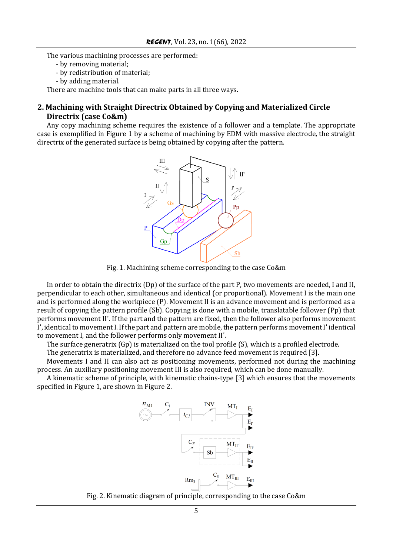The various machining processes are performed:

- by removing material;
- by redistribution of material;
- by adding material.

There are machine tools that can make parts in all three ways.

### **2. Machining with Straight Directrix Obtained by Copying and Materialized Circle Directrix (case Co&m)**

Any copy machining scheme requires the existence of a follower and a template. The appropriate case is exemplified in Figure 1 by a scheme of machining by EDM with massive electrode, the straight directrix of the generated surface is being obtained by copying after the pattern.



Fig. 1. Machining scheme corresponding to the case Co&m

In order to obtain the directrix (Dp) of the surface of the part P, two movements are needed, I and II, perpendicular to each other, simultaneous and identical (or proportional). Movement I is the main one and is performed along the workpiece (P). Movement II is an advance movement and is performed as a result of copying the pattern profile (Sb). Copying is done with a mobile, translatable follower (Pp) that performs movement II'. If the part and the pattern are fixed, then the follower also performs movement I', identical to movement I. If the part and pattern are mobile, the pattern performs movement I' identical to movement I, and the follower performs only movement II'.

The surface generatrix (Gp) is materialized on the tool profile (S), which is a profiled electrode.

The generatrix is materialized, and therefore no advance feed movement is required [3].

Movements I and II can also act as positioning movements, performed not during the machining process. An auxiliary positioning movement III is also required, which can be done manually.

A kinematic scheme of principle, with kinematic chains-type [3] which ensures that the movements specified in Figure 1, are shown in Figure 2.



Fig. 2. Kinematic diagram of principle, corresponding to the case Co&m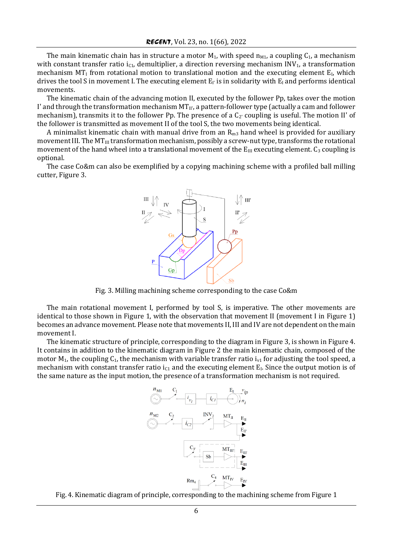The main kinematic chain has in structure a motor  $M_1$ , with speed  $n_{M1}$ , a coupling  $C_1$ , a mechanism with constant transfer ratio  $i_{C1}$ , demultiplier, a direction reversing mechanism INV<sub>1</sub>, a transformation mechanism  $MT<sub>I</sub>$  from rotational motion to translational motion and the executing element E<sub>I</sub>, which drives the tool S in movement I. The executing element  $E_I$  is in solidarity with  $E_I$  and performs identical movements.

The kinematic chain of the advancing motion II, executed by the follower Pp, takes over the motion I' and through the transformation mechanism  $MT_{II'}$ , a pattern-follower type (actually a cam and follower mechanism), transmits it to the follower Pp. The presence of a  $C_2$  coupling is useful. The motion II' of the follower is transmitted as movement II of the tool S, the two movements being identical.

A minimalist kinematic chain with manual drive from an  $R_{m3}$  hand wheel is provided for auxiliary movement III. The  $MT_{III}$  transformation mechanism, possibly a screw-nut type, transforms the rotational movement of the hand wheel into a translational movement of the  $E_{III}$  executing element.  $C_3$  coupling is optional.

The case Co&m can also be exemplified by a copying machining scheme with a profiled ball milling cutter, Figure 3.



Fig. 3. Milling machining scheme corresponding to the case Co&m

The main rotational movement I, performed by tool S, is imperative. The other movements are identical to those shown in Figure 1, with the observation that movement II (movement I in Figure 1) becomes an advance movement. Please note that movements II, III and IV are not dependent on the main movement I.

The kinematic structure of principle, corresponding to the diagram in Figure 3, is shown in Figure 4. It contains in addition to the kinematic diagram in Figure 2 the main kinematic chain, composed of the motor  $M_1$ , the coupling  $C_1$ , the mechanism with variable transfer ratio  $i_{v1}$  for adjusting the tool speed, a mechanism with constant transfer ratio  $i_{C1}$  and the executing element  $E_i$ . Since the output motion is of the same nature as the input motion, the presence of a transformation mechanism is not required.



Fig. 4. Kinematic diagram of principle, corresponding to the machining scheme from Figure 1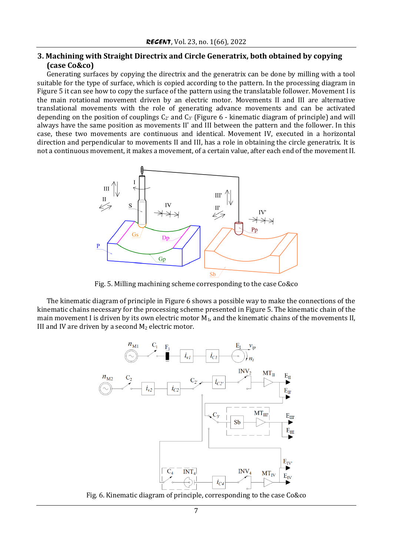## **3. Machining with Straight Directrix and Circle Generatrix, both obtained by copying (case Co&co)**

Generating surfaces by copying the directrix and the generatrix can be done by milling with a tool suitable for the type of surface, which is copied according to the pattern. In the processing diagram in Figure 5 it can see how to copy the surface of the pattern using the translatable follower. Movement I is the main rotational movement driven by an electric motor. Movements II and III are alternative translational movements with the role of generating advance movements and can be activated depending on the position of couplings  $C_{2'}$  and  $C_{3'}$  (Figure 6 - kinematic diagram of principle) and will always have the same position as movements II' and III between the pattern and the follower. In this case, these two movements are continuous and identical. Movement IV, executed in a horizontal direction and perpendicular to movements II and III, has a role in obtaining the circle generatrix. It is not a continuous movement, it makes a movement, of a certain value, after each end of the movement II.



Fig. 5. Milling machining scheme corresponding to the case Co&co

The kinematic diagram of principle in Figure 6 shows a possible way to make the connections of the kinematic chains necessary for the processing scheme presented in Figure 5. The kinematic chain of the main movement I is driven by its own electric motor  $M_1$ , and the kinematic chains of the movements II, III and IV are driven by a second  $M_2$  electric motor.



Fig. 6. Kinematic diagram of principle, corresponding to the case Co&co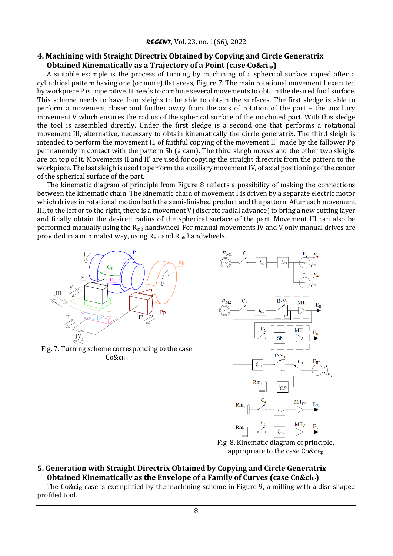## **4. Machining with Straight Directrix Obtained by Copying and Circle Generatrix Obtained Kinematically as a Trajectory of a Point (case Co&citp)**

A suitable example is the process of turning by machining of a spherical surface copied after a cylindrical pattern having one (or more) flat areas, Figure 7. The main rotational movement I executed by workpiece P is imperative. It needs to combine several movements to obtain the desired final surface. This scheme needs to have four sleighs to be able to obtain the surfaces. The first sledge is able to perform a movement closer and further away from the axis of rotation of the part – the auxiliary movement V which ensures the radius of the spherical surface of the machined part. With this sledge the tool is assembled directly. Under the first sledge is a second one that performs a rotational movement III, alternative, necessary to obtain kinematically the circle generatrix. The third sleigh is intended to perform the movement II, of faithful copying of the movement II' made by the fallower Pp permanently in contact with the pattern Sb (a cam). The third sleigh moves and the other two sleighs are on top of it. Movements II and II' are used for copying the straight directrix from the pattern to the workpiece. The last sleigh is used to perform the auxiliary movement IV, of axial positioning of the center of the spherical surface of the part.

The kinematic diagram of principle from Figure 8 reflects a possibility of making the connections between the kinematic chain. The kinematic chain of movement I is driven by a separate electric motor which drives in rotational motion both the semi-finished product and the pattern. After each movement III, to the left or to the right, there is a movement V (discrete radial advance) to bring a new cutting layer and finally obtain the desired radius of the spherical surface of the part. Movement III can also be performed manually using the  $R_{m3}$  handwheel. For manual movements IV and V only manual drives are provided in a minimalist way, using  $R_{m4}$  and  $R_{m5}$  handwheels.



Fig. 7. Turning scheme corresponding to the case Co&ci<sub>tp</sub>



Fig. 8. Kinematic diagram of principle, appropriate to the case  $Co\&ci_{tp}$ 

## **5. Generation with Straight Directrix Obtained by Copying and Circle Generatrix Obtained Kinematically as the Envelope of a Family of Curves (case Co&cifc)**

The Co&ci<sub>fc</sub> case is exemplified by the machining scheme in Figure 9, a milling with a disc-shaped profiled tool.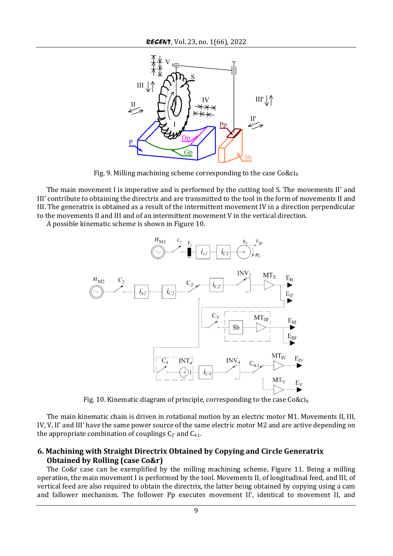

Fig. 9. Milling machining scheme corresponding to the case  $Co\&ci_{fc}$ 

The main movement I is imperative and is performed by the cutting tool S. The movements II' and III' contribute to obtaining the directrix and are transmitted to the tool in the form of movements II and III. The generatrix is obtained as a result of the intermittent movement IV in a direction perpendicular to the movements II and III and of an intermittent movement V in the vertical direction.

A possible kinematic scheme is shown in Figure 10.



Fig. 10. Kinematic diagram of principle, corresponding to the case  $Co\&ci_{fc}$ 

The main kinematic chain is driven in rotational motion by an electric motor M1. Movements II, III, IV, V, II' and III' have the same power source of the same electric motor M2 and are active depending on the appropriate combination of couplings  $C_{2'}$  and  $C_{4,1}$ .

## **6. Machining with Straight Directrix Obtained by Copying and Circle Generatrix Obtained by Rolling (case Co&r)**

The Co&r case can be exemplified by the milling machining scheme, Figure 11. Being a milling operation, the main movement I is performed by the tool. Movements II, of longitudinal feed, and III, of vertical feed are also required to obtain the directrix, the latter being obtained by copying using a cam and fallower mechanism. The follower Pp executes movement II', identical to movement II, and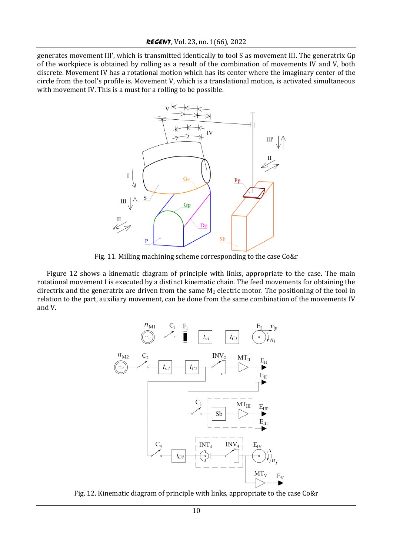generates movement III', which is transmitted identically to tool S as movement III. The generatrix Gp of the workpiece is obtained by rolling as a result of the combination of movements IV and V, both discrete. Movement IV has a rotational motion which has its center where the imaginary center of the circle from the tool's profile is. Movement V, which is a translational motion, is activated simultaneous with movement IV. This is a must for a rolling to be possible.



Fig. 11. Milling machining scheme corresponding to the case Co&r

Figure 12 shows a kinematic diagram of principle with links, appropriate to the case. The main rotational movement I is executed by a distinct kinematic chain. The feed movements for obtaining the directrix and the generatrix are driven from the same  $M_2$  electric motor. The positioning of the tool in relation to the part, auxiliary movement, can be done from the same combination of the movements IV and V.



Fig. 12. Kinematic diagram of principle with links, appropriate to the case Co&r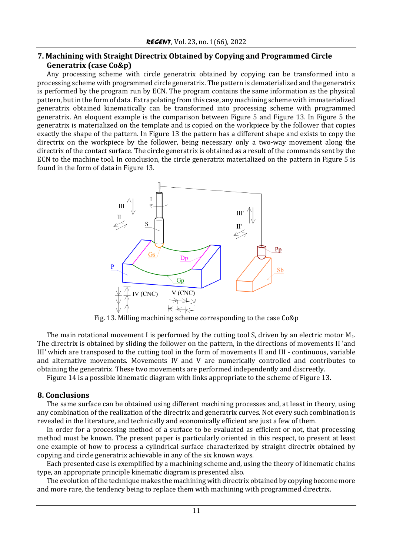## **7. Machining with Straight Directrix Obtained by Copying and Programmed Circle Generatrix (case Co&p)**

Any processing scheme with circle generatrix obtained by copying can be transformed into a processing scheme with programmed circle generatrix. The pattern is dematerialized and the generatrix is performed by the program run by ECN. The program contains the same information as the physical pattern, but in the form of data. Extrapolating from this case, any machining scheme with immaterialized generatrix obtained kinematically can be transformed into processing scheme with programmed generatrix. An eloquent example is the comparison between Figure 5 and Figure 13. In Figure 5 the generatrix is materialized on the template and is copied on the workpiece by the follower that copies exactly the shape of the pattern. In Figure 13 the pattern has a different shape and exists to copy the directrix on the workpiece by the follower, being necessary only a two-way movement along the directrix of the contact surface. The circle generatrix is obtained as a result of the commands sent by the ECN to the machine tool. In conclusion, the circle generatrix materialized on the pattern in Figure 5 is found in the form of data in Figure 13.



Fig. 13. Milling machining scheme corresponding to the case Co&p

The main rotational movement I is performed by the cutting tool S, driven by an electric motor M<sub>1</sub>. The directrix is obtained by sliding the follower on the pattern, in the directions of movements II 'and III' which are transposed to the cutting tool in the form of movements II and III - continuous, variable and alternative movements. Movements IV and V are numerically controlled and contributes to obtaining the generatrix. These two movements are performed independently and discreetly.

Figure 14 is a possible kinematic diagram with links appropriate to the scheme of Figure 13.

#### **8. Conclusions**

The same surface can be obtained using different machining processes and, at least in theory, using any combination of the realization of the directrix and generatrix curves. Not every such combination is revealed in the literature, and technically and economically efficient are just a few of them.

In order for a processing method of a surface to be evaluated as efficient or not, that processing method must be known. The present paper is particularly oriented in this respect, to present at least one example of how to process a cylindrical surface characterized by straight directrix obtained by copying and circle generatrix achievable in any of the six known ways.

Each presented case is exemplified by a machining scheme and, using the theory of kinematic chains type, an appropriate principle kinematic diagram is presented also.

The evolution of the technique makes the machining with directrix obtained by copying become more and more rare, the tendency being to replace them with machining with programmed directrix.